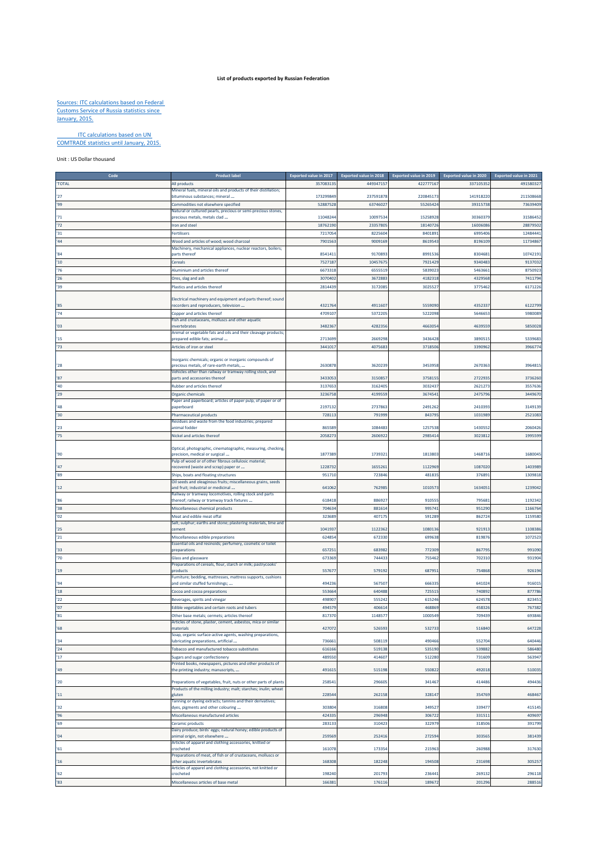## **List of products exported by Russian Federation**

## Sources: ITC calculations based on Federal Customs Service of Russia statistics since January, 2015.

## ITC calculations based on UN COMTRADE statistics until January, 2015.

Unit : US Dollar thousand

| Cod             | <b>Product label</b>                                                                        | <b>Exported value in 2017</b> | <b>Exported value in 2018</b> | <b>Exported value in 2019</b> | <b>Exported value in 2020</b> | <b>Exported value in 2021</b> |
|-----------------|---------------------------------------------------------------------------------------------|-------------------------------|-------------------------------|-------------------------------|-------------------------------|-------------------------------|
| <b>TOTAL</b>    | All products                                                                                | 35708313                      | 449347157                     | 422777167                     | 337105352                     | 49158032                      |
|                 | Mineral fuels, mineral oils and products of their distillation;                             |                               |                               |                               |                               |                               |
| 27              | bituminous substances; mineral                                                              | 173299849                     | 237591878                     | 22084517                      | 141918220                     | 211508668                     |
| 99              | Commodities not elsewhere specified                                                         | 52887528                      | 63746027                      | 55265424                      | 39315738                      | 73639409                      |
|                 | Natural or cultured pearls, precious or semi-precious stones,                               |                               |                               |                               |                               |                               |
| '71             | precious metals, metals clad                                                                | 1104824                       | 1009753                       | 15258928                      | 3036037                       | 31586452                      |
| 72              | ron and steel                                                                               | 1876219                       | 2335780                       | 1814072                       | 1600608                       | 28879502                      |
|                 |                                                                                             |                               | 8225604                       |                               | 6995406                       |                               |
| 31              | Fertilisers                                                                                 | 721705                        |                               | 840189                        |                               | 12484441                      |
| 44 <sup>°</sup> | Wood and articles of wood; wood charcoal                                                    | 790156                        | 9009169                       | 8619543                       | 8196109                       | 11734867                      |
|                 | Machinery, mechanical appliances, nuclear reactors, boilers;                                |                               |                               |                               |                               |                               |
| '84             | parts thereof                                                                               | 854141                        | 9170893                       | 8991536                       | 8304681                       | 10742191                      |
| 10              | Cereals                                                                                     | 752718                        | 1045767                       | 792142                        | 934048                        | 9137032                       |
| '76             | Aluminium and articles thereof                                                              | 667331                        | 6555519                       | 583902                        | 546366                        | 875092                        |
| 26              | Ores, slag and ash                                                                          | 3070402                       | 3672883                       | 4182318                       | 4329568                       | 7411794                       |
| 39              | Plastics and articles thereof                                                               | 281443                        | 3172085                       | 302552                        | 3775462                       | 617122                        |
|                 |                                                                                             |                               |                               |                               |                               |                               |
|                 | Electrical machinery and equipment and parts thereof; sound                                 |                               |                               |                               |                               |                               |
| '85             | ecorders and reproducers, television                                                        | 432176                        | 4911607                       | 555909                        | 435233                        | 6122799                       |
| '74             | Copper and articles thereof                                                                 | 470910                        | 5372205                       | 5222098                       | 5646653                       | 5980089                       |
|                 | Fish and crustaceans, molluscs and other aquatic                                            |                               |                               |                               |                               |                               |
| '03             | nvertebrates                                                                                | 3482367                       | 4282356                       | 466305                        | 4639559                       | 5850028                       |
|                 | Animal or vegetable fats and oils and their cleavage products;                              |                               |                               |                               |                               |                               |
| '15             | prepared edible fats; animal                                                                | 271369                        | 2669298                       | 343642                        | 389051                        | 533968                        |
| '73             | Articles of iron or steel                                                                   | 344101                        | 4075683                       | 3718506                       | 3390962                       | 3966774                       |
|                 |                                                                                             |                               |                               |                               |                               |                               |
|                 | Inorganic chemicals; organic or inorganic compounds of                                      |                               |                               |                               |                               |                               |
| '28             | precious metals, of rare-earth metals,                                                      | 2630878                       | 3620239                       | 3453958                       | 2670363                       | 396481                        |
|                 | Vehicles other than railway or tramway rolling stock, and                                   |                               |                               |                               |                               |                               |
| '87             | parts and accessories thereof                                                               | 343305                        | 3150857                       | 375815                        | 272293                        | 3736260                       |
| '40             | <b>Rubber and articles thereof</b>                                                          | 3137653                       | 3162405                       | 3032437                       | 2621273                       | 3557636                       |
| '29             | <b>Organic chemicals</b>                                                                    | 323675                        | 4199559                       | 367454                        | 2475796                       | 344967                        |
|                 | aper and paperboard; articles of paper pulp, of paper or of                                 |                               |                               |                               |                               |                               |
| 48              | aperboard                                                                                   | 2197132                       | 273786                        | 2491262                       | 241039                        | 3149139                       |
| 30              | Pharmaceutical products                                                                     | 72811                         | 79199                         | 84379                         | 103198                        | 252108                        |
|                 | Residues and waste from the food industries; prepared                                       |                               |                               |                               |                               |                               |
| 23              | animal fodder                                                                               | 865589                        | 1084483                       | 125753                        | 1430552                       | 206042                        |
| 75              | Nickel and articles thereof                                                                 | 205827                        | 2606922                       | 2985414                       | 3023812                       | 1995599                       |
|                 |                                                                                             |                               |                               |                               |                               |                               |
|                 | Optical, photographic, cinematographic, measuring, checking,                                |                               |                               |                               |                               |                               |
| '90             | precision, medical or surgical                                                              | 187738                        | 173932                        | 181380                        | 146871                        | 168004                        |
|                 | Pulp of wood or of other fibrous cellulosic material;                                       |                               |                               |                               |                               |                               |
| '47             | ecovered (waste and scrap) paper or                                                         | 1228732                       | 1655261                       | 1122969                       | 1087020                       | 1403989                       |
| '89             | Ships, boats and floating structures                                                        | 951710                        | 723846                        | 481835                        | 376891                        | 1309818                       |
|                 | Oil seeds and oleaginous fruits; miscellaneous grains, seeds                                |                               |                               |                               |                               |                               |
| 12              | and fruit; industrial or medicinal                                                          | 641062                        | 762985                        | 1010573                       | 1634051                       | 1239042                       |
|                 | Railway or tramway locomotives, rolling stock and parts                                     |                               |                               |                               |                               |                               |
| '86             | thereof; railway or tramway track fixtures                                                  | 618418                        | 886927                        | 910555                        | 795681                        | 1192342                       |
| '38             | Miscellaneous chemical products                                                             | 70463                         | 88161                         | 99574                         | 951290                        | 116676                        |
| '02             | Meat and edible meat offal                                                                  | 32368                         | 407175                        | 591289                        | 862724                        | 1159580                       |
|                 | Salt; sulphur; earths and stone; plastering materials, lime and                             |                               |                               |                               |                               |                               |
| 25              | cement                                                                                      | 104193                        | 1122362                       | 1080136                       | 921913                        | 1108386                       |
| 21              | Miscellaneous edible preparations                                                           | 62485                         | 672330                        | 699638                        | 819876                        | 1072523                       |
|                 | Essential oils and resinoids; perfumery, cosmetic or toilet                                 |                               |                               |                               |                               |                               |
| '33             | preparations                                                                                | 65725                         | 683982                        | 772309                        | 86779                         | 991090                        |
| '70             | <b>Glass and glassware</b>                                                                  | 67336                         | 74443                         | 75546                         | 70231                         | 931904                        |
|                 | Preparations of cereals, flour, starch or milk; pastrycooks'                                |                               |                               |                               |                               |                               |
| '19             | products                                                                                    | 55767                         | 579192                        | 687951                        | 754868                        | 926194                        |
|                 | urniture; bedding, mattresses, mattress supports, cushions                                  |                               |                               |                               |                               |                               |
| 94              | and similar stuffed furnishings;                                                            | 49423                         | 567507                        | 666335                        | 641024                        | 916015                        |
| 18              | Cocoa and cocoa preparations                                                                | 55366                         | 640488                        | 72551                         | 74089                         | 877786                        |
| 22              | Beverages, spirits and vinegar                                                              | 498907                        | 555242                        | 615246                        | 624578                        | 823451                        |
| '07             | Edible vegetables and certain roots and tubers                                              | 49457                         | 406614                        | 468869                        | 458326                        | 767382                        |
| "81"            | Other base metals; cermets; articles thereof                                                | 81737                         | 114857                        | 1000549                       | 709439                        | 693846                        |
|                 | Articles of stone, plaster, cement, asbestos, mica or similar                               |                               |                               |                               |                               |                               |
| 58'             | naterials                                                                                   | 42707                         | 526593                        | 53273                         | 516840                        | 647228                        |
|                 | wasınıng preparar                                                                           |                               |                               |                               |                               |                               |
| '34             | ubricating preparations, artificial                                                         | 73666                         | 508119                        | 490466                        | 552704                        | 640446                        |
| 24              | Tobacco and manufactured tobacco substitutes                                                | 61616                         | 519138                        | 535190                        | 539882                        | 586480                        |
| 17              | Sugars and sugar confectionery                                                              | 489550                        | 414607                        | 512280                        | 731609                        | 563947                        |
|                 | rinted books, newspapers, pictures and other products of                                    |                               |                               |                               |                               |                               |
| '49             | the printing industry; manuscripts,                                                         | 491615                        | 515198                        | 550822                        | 492018                        | 510035                        |
|                 |                                                                                             |                               |                               |                               |                               |                               |
| '20             | Preparations of vegetables, fruit, nuts or other parts of plants                            | 25854                         | 296605                        | 341467                        | 414486                        | 494436                        |
|                 | Products of the milling industry; malt; starches; inulin; wheat                             |                               |                               |                               |                               |                               |
| 111             | gluten                                                                                      | 22854                         | 262158                        | 328147                        | 354769                        | 468467                        |
|                 | Tanning or dyeing extracts; tannins and their derivatives;                                  |                               |                               |                               |                               |                               |
| 32              | dyes, pigments and other colouring                                                          | 30380                         | 316808                        | 349527                        | 339477                        | 415145                        |
| '96             | Miscellaneous manufactured articles                                                         | 42433                         | 296948                        | 306722                        | 331511                        | 409697                        |
| '69             | Ceramic products                                                                            | 28313                         | 31042                         | 322979                        | 318506                        | 391799                        |
|                 | Dairy produce; birds' eggs; natural honey; edible products of                               |                               |                               |                               |                               |                               |
| '04             | animal origin, not elsewhere                                                                | 259569                        | 252416                        | 272594                        | 303565                        | 381439                        |
|                 | Articles of apparel and clothing accessories, knitted or                                    |                               |                               |                               |                               |                               |
| 61              | crocheted                                                                                   | 161078                        | 173354                        | 215963                        | 260988                        | 317630                        |
| '16             | Preparations of meat, of fish or of crustaceans, molluscs or<br>other aquatic invertebrates | 168308                        | 182248                        | 194508                        | 231698                        | 305257                        |
|                 | Articles of apparel and clothing accessories, not knitted or                                |                               |                               |                               |                               |                               |
| 162             | crocheted                                                                                   | 198240                        | 201793                        | 236441                        | 269132                        | 296118                        |
| $^{\prime}83$   |                                                                                             |                               |                               |                               |                               |                               |
|                 | Miscellaneous articles of base metal                                                        | 166381                        | 176116                        | 189672                        | 201296                        | 288516                        |